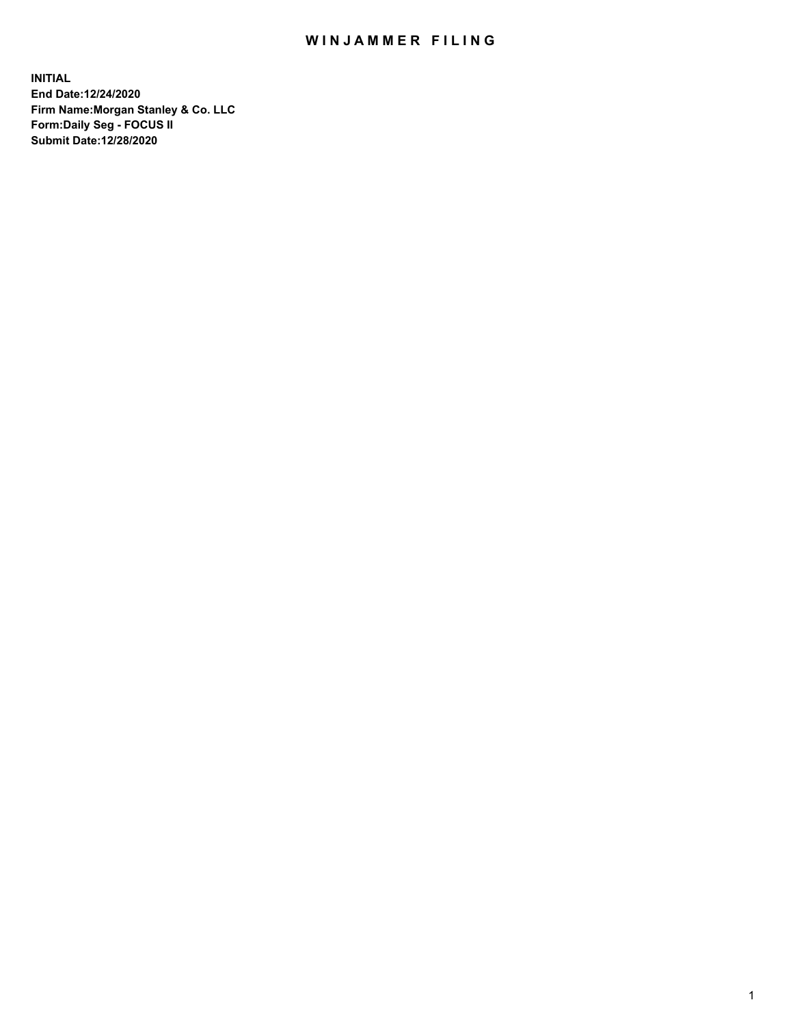## WIN JAMMER FILING

**INITIAL End Date:12/24/2020 Firm Name:Morgan Stanley & Co. LLC Form:Daily Seg - FOCUS II Submit Date:12/28/2020**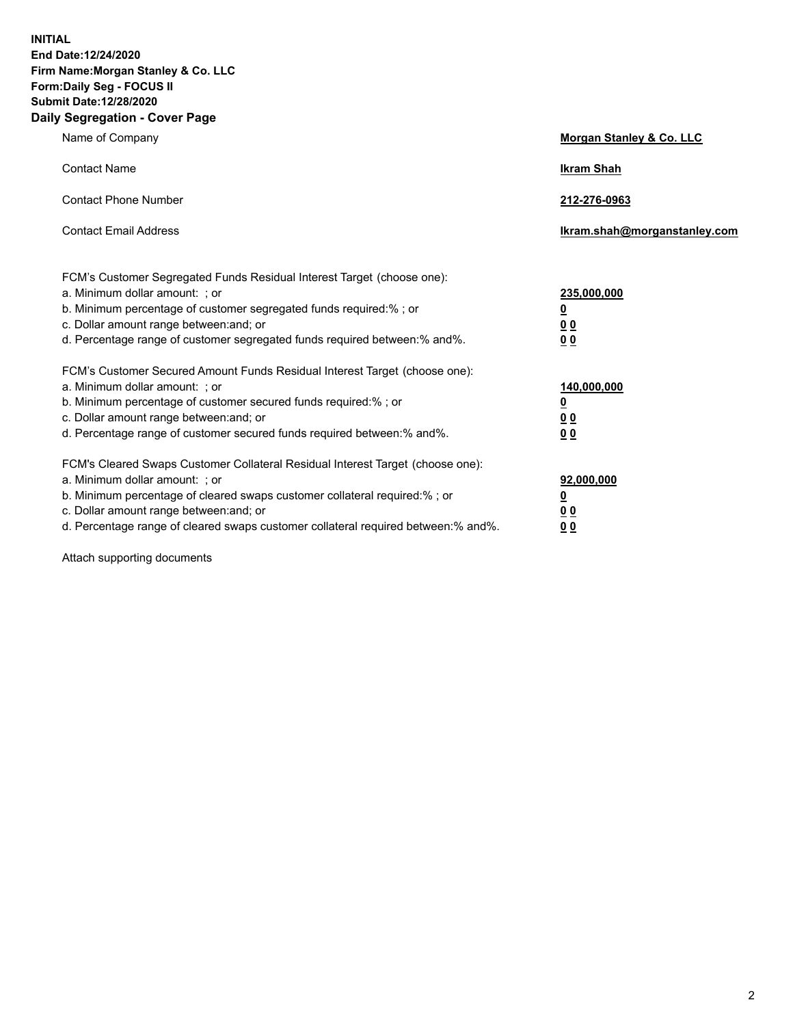**INITIAL End Date:12/24/2020 Firm Name:Morgan Stanley & Co. LLC Form:Daily Seg - FOCUS II Submit Date:12/28/2020 Daily Segregation - Cover Page**

| Name of Company                                                                                                                                                                                                                                                                                                                | Morgan Stanley & Co. LLC                                    |
|--------------------------------------------------------------------------------------------------------------------------------------------------------------------------------------------------------------------------------------------------------------------------------------------------------------------------------|-------------------------------------------------------------|
| <b>Contact Name</b>                                                                                                                                                                                                                                                                                                            | <b>Ikram Shah</b>                                           |
| <b>Contact Phone Number</b>                                                                                                                                                                                                                                                                                                    | 212-276-0963                                                |
| <b>Contact Email Address</b>                                                                                                                                                                                                                                                                                                   | Ikram.shah@morganstanley.com                                |
| FCM's Customer Segregated Funds Residual Interest Target (choose one):<br>a. Minimum dollar amount: ; or<br>b. Minimum percentage of customer segregated funds required:% ; or<br>c. Dollar amount range between: and; or<br>d. Percentage range of customer segregated funds required between:% and%.                         | 235,000,000<br><u>0</u><br><u>00</u><br>0 <sub>0</sub>      |
| FCM's Customer Secured Amount Funds Residual Interest Target (choose one):<br>a. Minimum dollar amount: ; or<br>b. Minimum percentage of customer secured funds required:% ; or<br>c. Dollar amount range between: and; or<br>d. Percentage range of customer secured funds required between:% and%.                           | 140,000,000<br><u>0</u><br>0 <sub>0</sub><br>0 <sub>0</sub> |
| FCM's Cleared Swaps Customer Collateral Residual Interest Target (choose one):<br>a. Minimum dollar amount: ; or<br>b. Minimum percentage of cleared swaps customer collateral required:% ; or<br>c. Dollar amount range between: and; or<br>d. Percentage range of cleared swaps customer collateral required between:% and%. | 92,000,000<br><u>0</u><br><u>00</u><br>00                   |

Attach supporting documents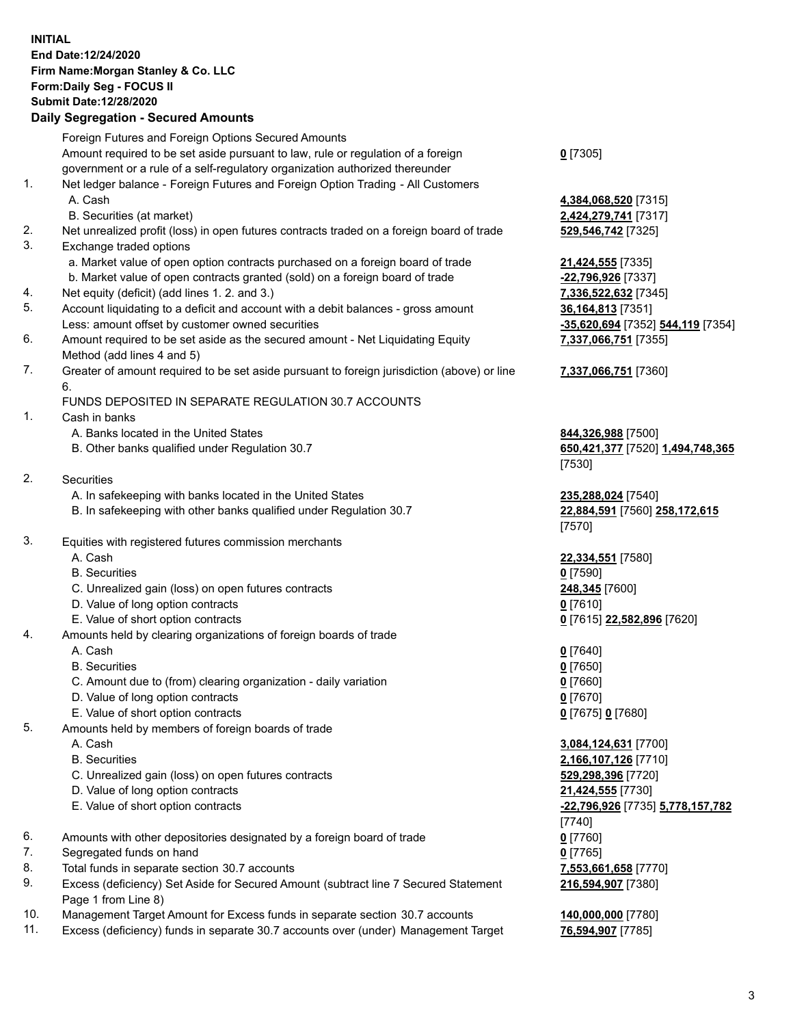## **INITIAL End Date:12/24/2020 Firm Name:Morgan Stanley & Co. LLC Form:Daily Seg - FOCUS II Submit Date:12/28/2020**

## **Daily Segregation - Secured Amounts**

Foreign Futures and Foreign Options Secured Amounts Amount required to be set aside pursuant to law, rule or regulation of a foreign government or a rule of a self-regulatory organization authorized thereunder 1. Net ledger balance - Foreign Futures and Foreign Option Trading - All Customers A. Cash **4,384,068,520** [7315] B. Securities (at market) **2,424,279,741** [7317] 2. Net unrealized profit (loss) in open futures contracts traded on a foreign board of trade **529,546,742** [7325] 3. Exchange traded options a. Market value of open option contracts purchased on a foreign board of trade **21,424,555** [7335] b. Market value of open contracts granted (sold) on a foreign board of trade **-22,796,926** [7337] 4. Net equity (deficit) (add lines 1. 2. and 3.) **7,336,522,632** [7345] 5. Account liquidating to a deficit and account with a debit balances - gross amount **36,164,813** [7351] Less: amount offset by customer owned securities **-35,620,694** [7352] **544,119** [7354] 6. Amount required to be set aside as the secured amount - Net Liquidating Equity Method (add lines 4 and 5) 7. Greater of amount required to be set aside pursuant to foreign jurisdiction (above) or line 6. FUNDS DEPOSITED IN SEPARATE REGULATION 30.7 ACCOUNTS 1. Cash in banks A. Banks located in the United States **844,326,988** [7500] B. Other banks qualified under Regulation 30.7 **650,421,377** [7520] **1,494,748,365** 2. Securities A. In safekeeping with banks located in the United States **235,288,024** [7540] B. In safekeeping with other banks qualified under Regulation 30.7 **22,884,591** [7560] **258,172,615** 3. Equities with registered futures commission merchants A. Cash **22,334,551** [7580] B. Securities **0** [7590] C. Unrealized gain (loss) on open futures contracts **248,345** [7600] D. Value of long option contracts **0** [7610] E. Value of short option contracts **0** [7615] **22,582,896** [7620] 4. Amounts held by clearing organizations of foreign boards of trade A. Cash **0** [7640] B. Securities **0** [7650] C. Amount due to (from) clearing organization - daily variation **0** [7660] D. Value of long option contracts **0** [7670] E. Value of short option contracts **0** [7675] **0** [7680] 5. Amounts held by members of foreign boards of trade A. Cash **3,084,124,631** [7700] B. Securities **2,166,107,126** [7710] C. Unrealized gain (loss) on open futures contracts **529,298,396** [7720] D. Value of long option contracts **21,424,555** [7730] E. Value of short option contracts **-22,796,926** [7735] **5,778,157,782** 6. Amounts with other depositories designated by a foreign board of trade **0** [7760] 7. Segregated funds on hand **0** [7765] 8. Total funds in separate section 30.7 accounts **7,553,661,658** [7770] 9. Excess (deficiency) Set Aside for Secured Amount (subtract line 7 Secured Statement Page 1 from Line 8)

- 10. Management Target Amount for Excess funds in separate section 30.7 accounts **140,000,000** [7780]
- 11. Excess (deficiency) funds in separate 30.7 accounts over (under) Management Target **76,594,907** [7785]

**0** [7305]

**7,337,066,751** [7355]

**7,337,066,751** [7360]

[7530]

[7570]

[7740] **216,594,907** [7380]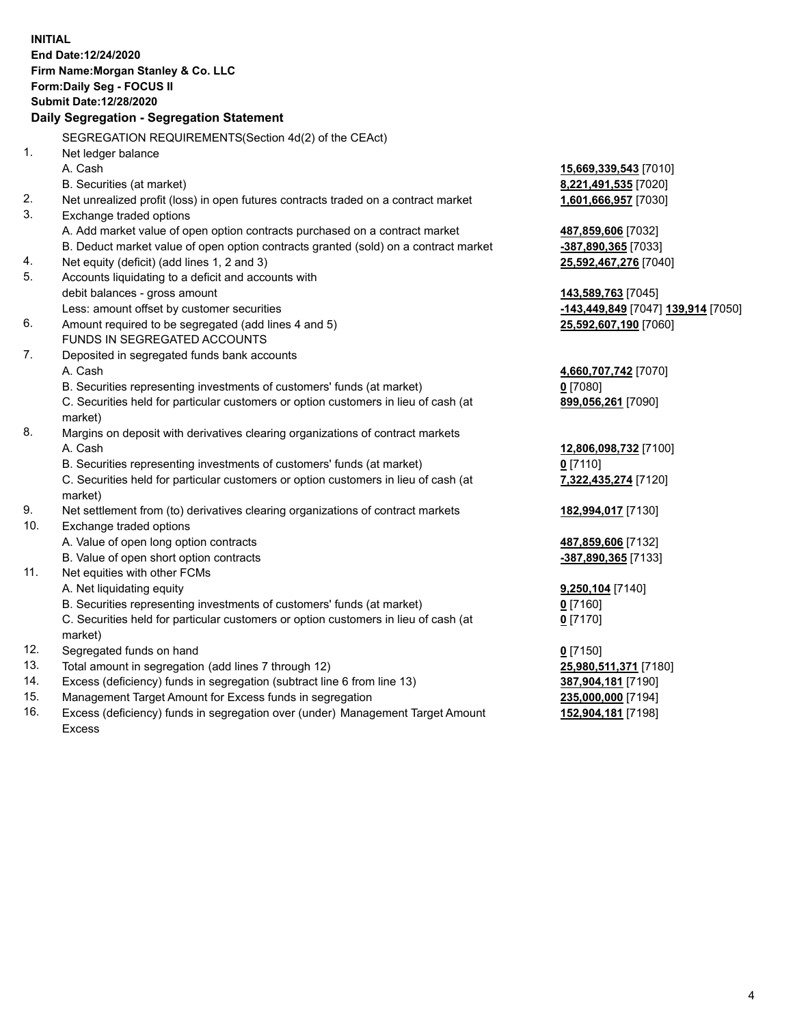|     | <b>INITIAL</b><br>End Date:12/24/2020<br>Firm Name: Morgan Stanley & Co. LLC         |                                    |
|-----|--------------------------------------------------------------------------------------|------------------------------------|
|     | Form: Daily Seg - FOCUS II<br>Submit Date: 12/28/2020                                |                                    |
|     | Daily Segregation - Segregation Statement                                            |                                    |
|     |                                                                                      |                                    |
|     | SEGREGATION REQUIREMENTS(Section 4d(2) of the CEAct)                                 |                                    |
| 1.  | Net ledger balance                                                                   |                                    |
|     | A. Cash                                                                              | 15,669,339,543 [7010]              |
|     | B. Securities (at market)                                                            | 8,221,491,535 [7020]               |
| 2.  | Net unrealized profit (loss) in open futures contracts traded on a contract market   | 1,601,666,957 [7030]               |
| 3.  | Exchange traded options                                                              |                                    |
|     | A. Add market value of open option contracts purchased on a contract market          | 487,859,606 [7032]                 |
|     | B. Deduct market value of open option contracts granted (sold) on a contract market  | -387,890,365 [7033]                |
| 4.  | Net equity (deficit) (add lines 1, 2 and 3)                                          | 25,592,467,276 [7040]              |
| 5.  | Accounts liquidating to a deficit and accounts with                                  |                                    |
|     | debit balances - gross amount                                                        | 143,589,763 [7045]                 |
| 6.  | Less: amount offset by customer securities                                           | -143,449,849 [7047] 139,914 [7050] |
|     | Amount required to be segregated (add lines 4 and 5)<br>FUNDS IN SEGREGATED ACCOUNTS | 25,592,607,190 [7060]              |
| 7.  | Deposited in segregated funds bank accounts                                          |                                    |
|     | A. Cash                                                                              | 4,660,707,742 [7070]               |
|     | B. Securities representing investments of customers' funds (at market)               | $0$ [7080]                         |
|     | C. Securities held for particular customers or option customers in lieu of cash (at  | 899,056,261 [7090]                 |
|     | market)                                                                              |                                    |
| 8.  | Margins on deposit with derivatives clearing organizations of contract markets       |                                    |
|     | A. Cash                                                                              | 12,806,098,732 [7100]              |
|     | B. Securities representing investments of customers' funds (at market)               | $0$ [7110]                         |
|     | C. Securities held for particular customers or option customers in lieu of cash (at  | 7,322,435,274 [7120]               |
|     | market)                                                                              |                                    |
| 9.  | Net settlement from (to) derivatives clearing organizations of contract markets      | 182,994,017 [7130]                 |
| 10. | Exchange traded options                                                              |                                    |
|     | A. Value of open long option contracts                                               | 487,859,606 [7132]                 |
|     | B. Value of open short option contracts                                              | -387,890,365 [7133]                |
| 11. | Net equities with other FCMs                                                         |                                    |
|     | A. Net liquidating equity                                                            | 9,250,104 [7140]                   |
|     | B. Securities representing investments of customers' funds (at market)               | 0 [7160]                           |
|     | C. Securities held for particular customers or option customers in lieu of cash (at  | $0$ [7170]                         |
|     | market)                                                                              |                                    |
| 12. | Segregated funds on hand                                                             | $0$ [7150]                         |
| 13. | Total amount in segregation (add lines 7 through 12)                                 | 25,980,511,371 [7180]              |
| 14. | Excess (deficiency) funds in segregation (subtract line 6 from line 13)              | 387,904,181 [7190]                 |
| 15. | Management Target Amount for Excess funds in segregation                             | 235,000,000 [7194]                 |
| 16. | Excess (deficiency) funds in segregation over (under) Management Target Amount       | 152,904,181 [7198]                 |

16. Excess (deficiency) funds in segregation over (under) Management Target Amount Excess